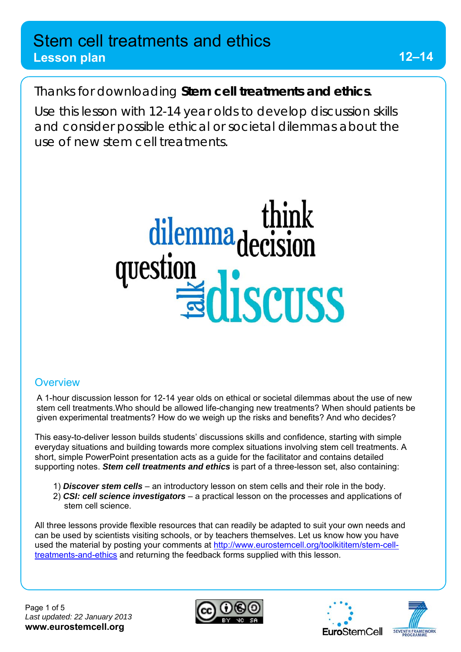### **Lesson plan**

Thanks for downloading *Stem cell treatments and ethics*.

Use this lesson with 12-14 year olds to develop discussion skills and consider possible ethical or societal dilemmas about the use of new stem cell treatments.



#### **Overview**

A 1-hour discussion lesson for 12-14 year olds on ethical or societal dilemmas about the use of new stem cell treatments.Who should be allowed life-changing new treatments? When should patients be given experimental treatments? How do we weigh up the risks and benefits? And who decides?

This easy-to-deliver lesson builds students' discussions skills and confidence, starting with simple everyday situations and building towards more complex situations involving stem cell treatments. A short, simple PowerPoint presentation acts as a guide for the facilitator and contains detailed supporting notes. *Stem cell treatments and ethics* is part of a three-lesson set, also containing:

- 1) *Discover stem cells* an introductory lesson on stem cells and their role in the body.
- 2) *CSI: cell science investigators*  a practical lesson on the processes and applications of stem cell science.

All three lessons provide flexible resources that can readily be adapted to suit your own needs and can be used by scientists visiting schools, or by teachers themselves. Let us know how you have used the material by posting your comments at http://www.eurostemcell.org/toolkititem/stem-celltreatments-and-ethics and returning the feedback forms supplied with this lesson.





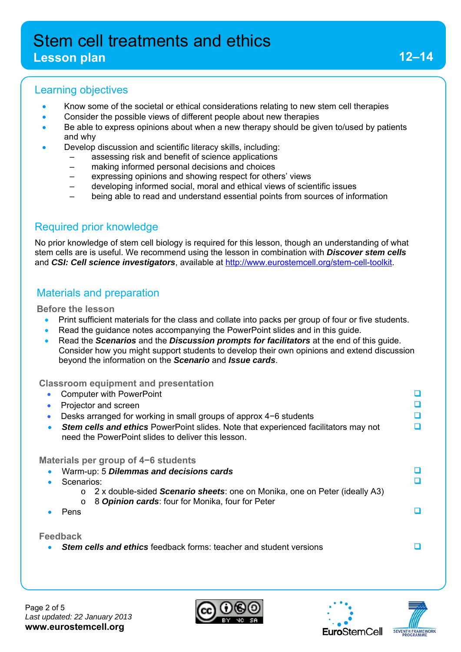#### **Lesson plan**

#### Learning objectives

- Know some of the societal or ethical considerations relating to new stem cell therapies
- Consider the possible views of different people about new therapies
- Be able to express opinions about when a new therapy should be given to/used by patients and why
- Develop discussion and scientific literacy skills, including:
	- assessing risk and benefit of science applications
	- making informed personal decisions and choices
	- expressing opinions and showing respect for others' views
	- developing informed social, moral and ethical views of scientific issues
	- being able to read and understand essential points from sources of information

#### Required prior knowledge

No prior knowledge of stem cell biology is required for this lesson, though an understanding of what stem cells are is useful. We recommend using the lesson in combination with *Discover stem cells* and *CSI: Cell science investigators*, available at http://www.eurostemcell.org/stem-cell-toolkit.

### Materials and preparation

#### **Before the lesson**

- Print sufficient materials for the class and collate into packs per group of four or five students.
- Read the guidance notes accompanying the PowerPoint slides and in this guide.
- Read the *Scenarios* and the *Discussion prompts for facilitators* at the end of this guide. Consider how you might support students to develop their own opinions and extend discussion beyond the information on the *Scenario* and *Issue cards*.

#### **Classroom equipment and presentation**

● Computer with PowerPoint the computer with PowerPoint the computer with the computer with  $\Box$ Projector and screen **D**  Desks arranged for working in small groups of approx 4−6 students **Stem cells and ethics** PowerPoint slides. Note that experienced facilitators may not need the PowerPoint slides to deliver this lesson.  $\Box$ **Materials per group of 4−6 students**  Warm-up: 5 *Dilemmas and decisions cards* Scenarios: o 2 x double-sided *Scenario sheets*: one on Monika, one on Peter (ideally A3) o 8 *Opinion cards*: four for Monika, four for Peter n • Pens **Feedback** *Stem cells and ethics* feedback forms: teacher and student versions





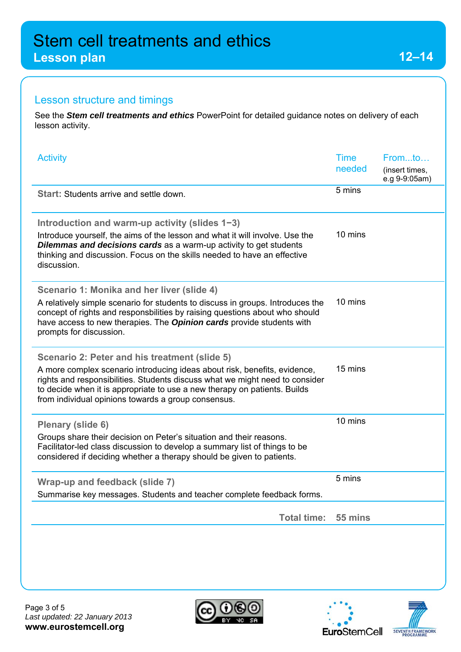**Lesson plan** 

### Lesson structure and timings

See the *Stem cell treatments and ethics* PowerPoint for detailed guidance notes on delivery of each lesson activity.

| <b>Activity</b>                                                                                                                                                                                                                                                                                                                                | <b>Time</b><br>needed | Fromto<br>(insert times,<br>e.g 9-9:05am) |
|------------------------------------------------------------------------------------------------------------------------------------------------------------------------------------------------------------------------------------------------------------------------------------------------------------------------------------------------|-----------------------|-------------------------------------------|
| <b>Start: Students arrive and settle down.</b>                                                                                                                                                                                                                                                                                                 | 5 mins                |                                           |
| Introduction and warm-up activity (slides 1-3)<br>Introduce yourself, the aims of the lesson and what it will involve. Use the<br><b>Dilemmas and decisions cards</b> as a warm-up activity to get students<br>thinking and discussion. Focus on the skills needed to have an effective<br>discussion.                                         | 10 mins               |                                           |
| Scenario 1: Monika and her liver (slide 4)<br>A relatively simple scenario for students to discuss in groups. Introduces the<br>concept of rights and responsbilities by raising questions about who should<br>have access to new therapies. The <b>Opinion cards</b> provide students with<br>prompts for discussion.                         | 10 mins               |                                           |
| Scenario 2: Peter and his treatment (slide 5)<br>A more complex scenario introducing ideas about risk, benefits, evidence,<br>rights and responsibilities. Students discuss what we might need to consider<br>to decide when it is appropriate to use a new therapy on patients. Builds<br>from individual opinions towards a group consensus. | 15 mins               |                                           |
| Plenary (slide 6)<br>Groups share their decision on Peter's situation and their reasons.<br>Facilitator-led class discussion to develop a summary list of things to be<br>considered if deciding whether a therapy should be given to patients.                                                                                                | 10 mins               |                                           |
| Wrap-up and feedback (slide 7)<br>Summarise key messages. Students and teacher complete feedback forms                                                                                                                                                                                                                                         | 5 mins                |                                           |
| <b>Total time:</b>                                                                                                                                                                                                                                                                                                                             | 55 mins               |                                           |
|                                                                                                                                                                                                                                                                                                                                                |                       |                                           |



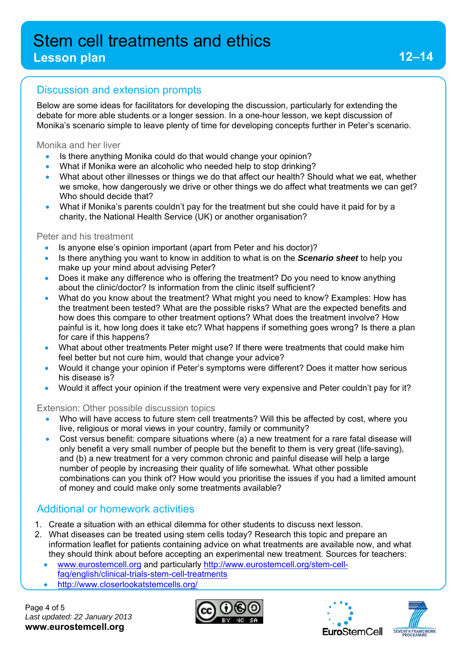#### **Lesson plan**

#### Discussion and extension prompts

Below are some ideas for facilitators for developing the discussion, particularly for extending the debate for more able students or a longer session. In a one-hour lesson, we kept discussion of Monika's scenario simple to leave plenty of time for developing concepts further in Peter's scenario.

Monika and her liver

- Is there anything Monika could do that would change your opinion?
- What if Monika were an alcoholic who needed help to stop drinking?
- What about other illnesses or things we do that affect our health? Should what we eat, whether we smoke, how dangerously we drive or other things we do affect what treatments we can get? Who should decide that?
- What if Monika's parents couldn't pay for the treatment but she could have it paid for by a charity, the National Health Service (UK) or another organisation?

#### Peter and his treatment

- Is anyone else's opinion important (apart from Peter and his doctor)?
- Is there anything you want to know in addition to what is on the *Scenario sheet* to help you make up your mind about advising Peter?
- Does it make any difference who is offering the treatment? Do you need to know anything about the clinic/doctor? Is information from the clinic itself sufficient?
- What do you know about the treatment? What might you need to know? Examples: How has the treatment been tested? What are the possible risks? What are the expected benefits and how does this compare to other treatment options? What does the treatment involve? How painful is it, how long does it take etc? What happens if something goes wrong? Is there a plan for care if this happens?
- What about other treatments Peter might use? If there were treatments that could make him feel better but not cure him, would that change your advice?
- Would it change your opinion if Peter's symptoms were different? Does it matter how serious his disease is?
- Would it affect your opinion if the treatment were very expensive and Peter couldn't pay for it?

#### Extension: Other possible discussion topics

- Who will have access to future stem cell treatments? Will this be affected by cost, where you live, religious or moral views in your country, family or community?
- Cost versus benefit: compare situations where (a) a new treatment for a rare fatal disease will only benefit a very small number of people but the benefit to them is very great (life-saving), and (b) a new treatment for a very common chronic and painful disease will help a large number of people by increasing their quality of life somewhat. What other possible combinations can you think of? How would you prioritise the issues if you had a limited amount of money and could make only some treatments available?

#### Additional or homework activities

- 1. Create a situation with an ethical dilemma for other students to discuss next lesson.
- 2. What diseases can be treated using stem cells today? Research this topic and prepare an information leaflet for patients containing advice on what treatments are available now, and what they should think about before accepting an experimental new treatment. Sources for teachers:
	- www.eurostemcell.org and particularly http://www.eurostemcell.org/stem-cellfaq/english/clinical-trials-stem-cell-treatments
	- http://www.closerlookatstemcells.org/







**12–14**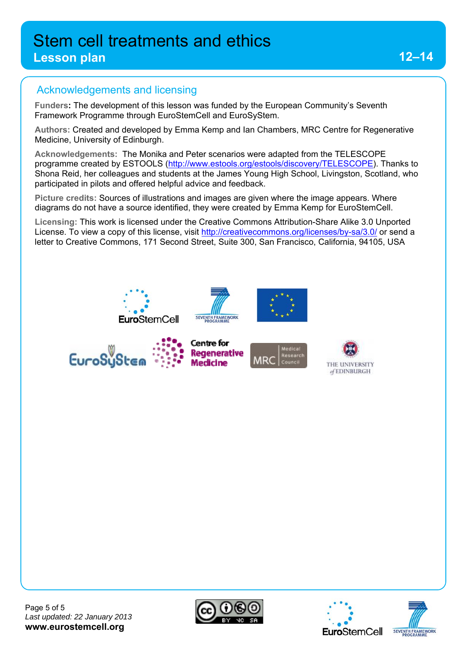### **Lesson plan**

## Acknowledgements and licensing

**Funders:** The development of this lesson was funded by the European Community's Seventh Framework Programme through EuroStemCell and EuroSyStem.

**Authors:** Created and developed by Emma Kemp and Ian Chambers, MRC Centre for Regenerative Medicine, University of Edinburgh.

**Acknowledgements:** The Monika and Peter scenarios were adapted from the TELESCOPE programme created by ESTOOLS (http://www.estools.org/estools/discovery/TELESCOPE). Thanks to Shona Reid, her colleagues and students at the James Young High School, Livingston, Scotland, who participated in pilots and offered helpful advice and feedback.

**Picture credits:** Sources of illustrations and images are given where the image appears. Where diagrams do not have a source identified, they were created by Emma Kemp for EuroStemCell.

**Licensing:** This work is licensed under the Creative Commons Attribution-Share Alike 3.0 Unported License. To view a copy of this license, visit http://creativecommons.org/licenses/by-sa/3.0/ or send a letter to Creative Commons, 171 Second Street, Suite 300, San Francisco, California, 94105, USA









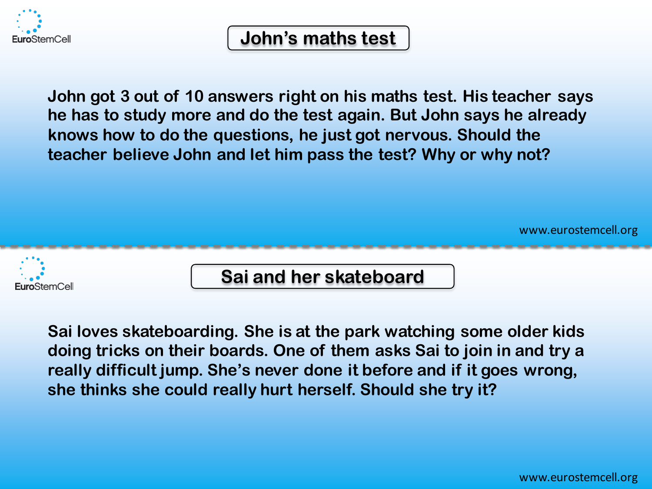

## **John's maths test**

**John got 3 out of 10 answers right on his maths test. His teacher says he has to study more and do the test again. But John says he already knows how to do the questions, he just got nervous. Should the teacher believe John and let him pass the test? Why or why not?**

www.eurostemcell.org



**Sai and her skateboard**

**Sai loves skateboarding. She is at the park watching some older kids doing tricks on their boards. One of them asks Sai to join in and try a really difficult jump. She's never done it before and if it goes wrong, she thinks she could really hurt herself. Should she try it?**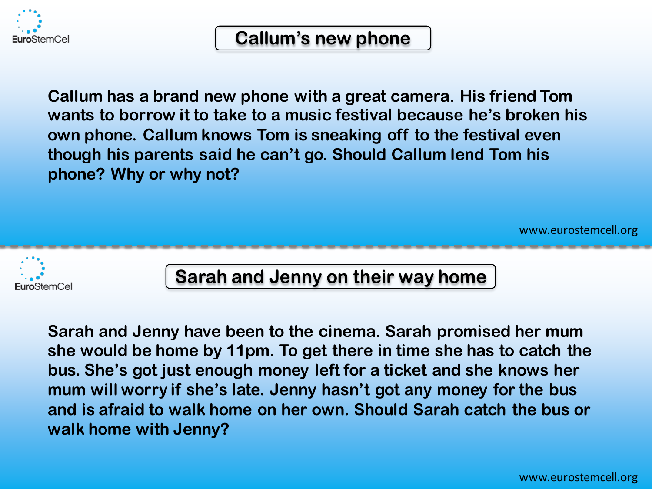

## **Callum's new phone**

**Callum has a brand new phone with a great camera. His friend Tom wants to borrow it to take to a music festival because he's broken his own phone. Callum knows Tom is sneaking off to the festival even though his parents said he can't go. Should Callum lend Tom his phone? Why or why not?**

www.eurostemcell.org



## **Sarah and Jenny on their way home**

**Sarah and Jenny have been to the cinema. Sarah promised her mum she would be home by 11pm. To get there in time she has to catch the bus. She's got just enough money left for a ticket and she knows her mum will worry if she's late. Jenny hasn't got any money for the bus and is afraid to walk home on her own. Should Sarah catch the bus or walk home with Jenny?**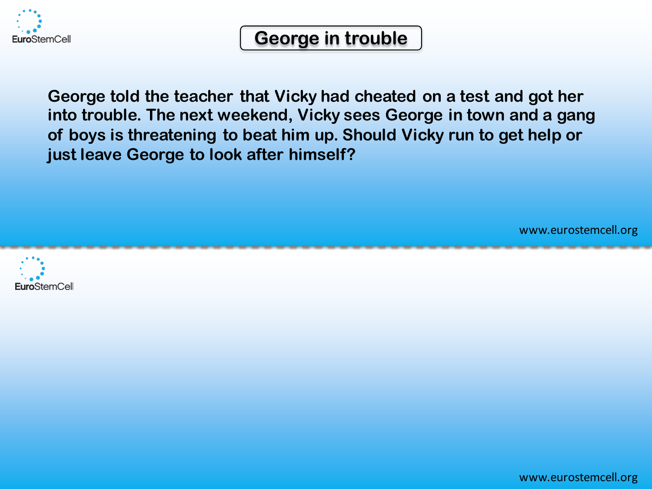

## **George in trouble**

**George told the teacher that Vicky had cheated on a test and got her into trouble. The next weekend, Vicky sees George in town and a gang of boys is threatening to beat him up. Should Vicky run to get help or just leave George to look after himself?**



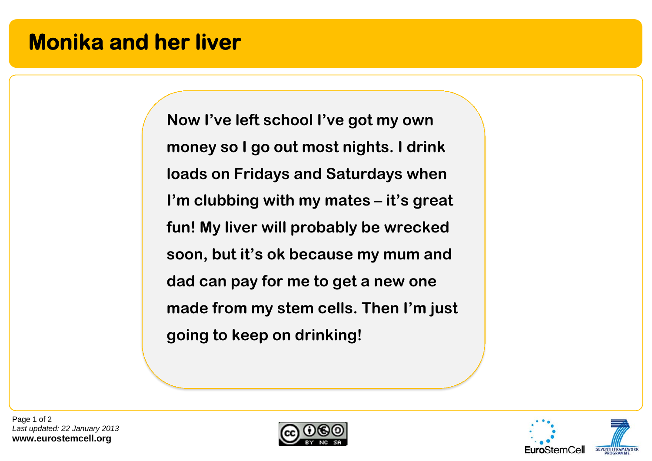# **Monika and her liver**

**Now I've left school I've got my own money so I go out most nights. I drink loads on Fridays and Saturdays when I'm clubbing with my mates – it's great fun! My liver will probably be wrecked soon, but it's ok because my mum and dad can pay for me to get a new one made from my stem cells. Then I'm just going to keep on drinking!** 

Page 1 of 2 *Last updated: 22 January 2013*  **www.eurostemcell.org** 



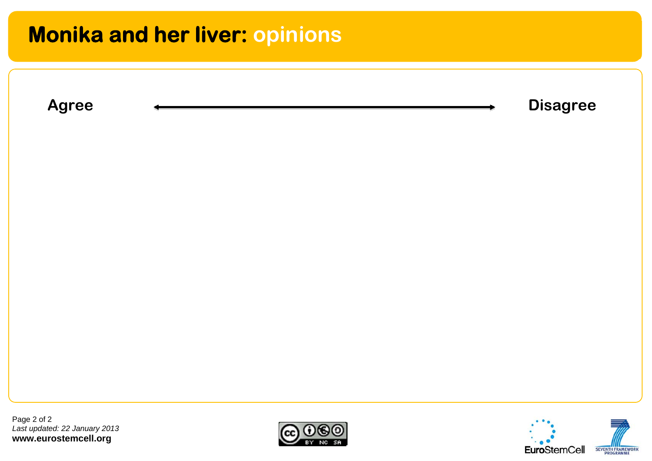# **Monika and her liver: opinions**



Page 2 of 2 *Last updated: 22 January 2013*  **www.eurostemcell.org** 



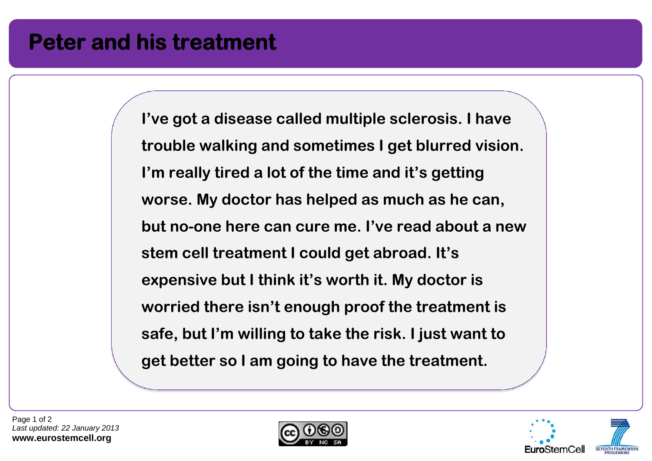# **Peter and his treatment**

**I've got a disease called multiple sclerosis. I have trouble walking and sometimes I get blurred vision. I'm really tired a lot of the time and it's getting worse. My doctor has helped as much as he can, but no-one here can cure me. I've read about a new stem cell treatment I could get abroad. It's expensive but I think it's worth it. My doctor is worried there isn't enough proof the treatment is safe, but I'm willing to take the risk. I just want to get better so I am going to have the treatment.** 



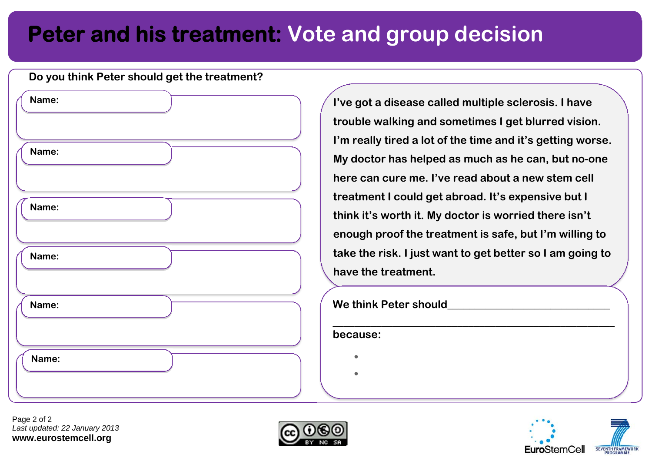# **Peter and his treatment: Vote and group decision**

| Do you think Peter should get the treatment? |  |  |
|----------------------------------------------|--|--|
| Name:                                        |  |  |
|                                              |  |  |
| Name:                                        |  |  |
|                                              |  |  |
| Name:                                        |  |  |
|                                              |  |  |
| Name:                                        |  |  |
|                                              |  |  |
| Name:                                        |  |  |
|                                              |  |  |
| Name:                                        |  |  |
|                                              |  |  |

**I've got a disease called multiple sclerosis. I have trouble walking and sometimes I get blurred vision. I'm really tired a lot of the time and it's getting worse. My doctor has helped as much as he can, but no-one here can cure me. I've read about a new stem cell treatment I could get abroad. It's expensive but I think it's worth it. My doctor is worried there isn't enough proof the treatment is safe, but I'm willing to take the risk. I just want to get better so I am going to have the treatment.** 

#### We think Peter should

**because:** 

ō

Ŏ



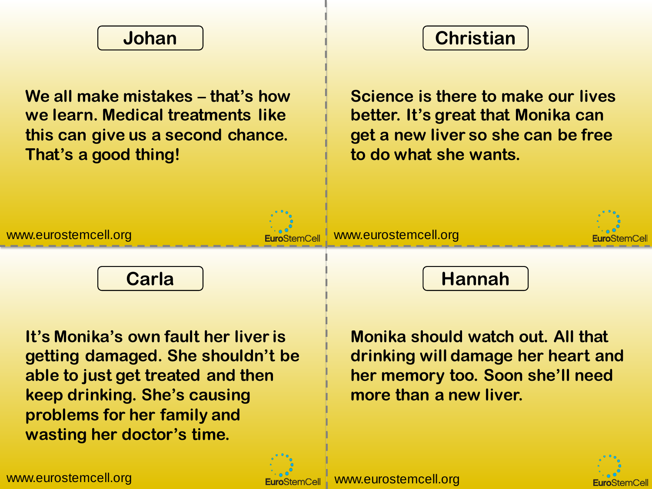

**We all make mistakes – that's how we learn. Medical treatments like this can give us a second chance. That's a good thing!**



**Science is there to make our lives better. It's great that Monika can get a new liver so she can be free to do what she wants.**





**It's Monika's own fault her liver is getting damaged. She shouldn't be able to just get treated and then keep drinking. She's causing problems for her family and wasting her doctor's time.**



**Monika should watch out. All that drinking will damage her heart and her memory too. Soon she'll need more than a new liver.**



www.eurostemcell.org www.eurostemcell.org

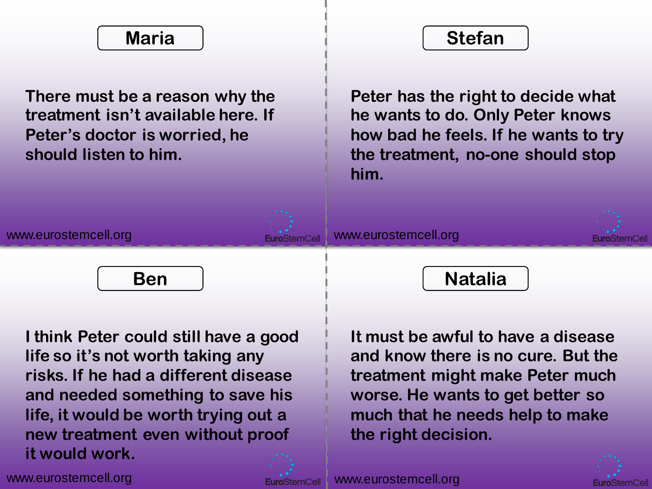## **Maria**

**There must be a reason why the treatment isn't available here. If Peter's doctor is worried, he should listen to him.**



**Peter has the right to decide what he wants to do. Only Peter knows how bad he feels. If he wants to try the treatment, no-one should stop him.**





**I think Peter could still have a good life so it's not worth taking any risks. If he had a different disease and needed something to save his life, it would be worth trying out a new treatment even without proof it would work.**



**It must be awful to have a disease and know there is no cure. But the treatment might make Peter much worse. He wants to get better so much that he needs help to make the right decision.**



www.eurostemcell.org www.eurostemcell.org

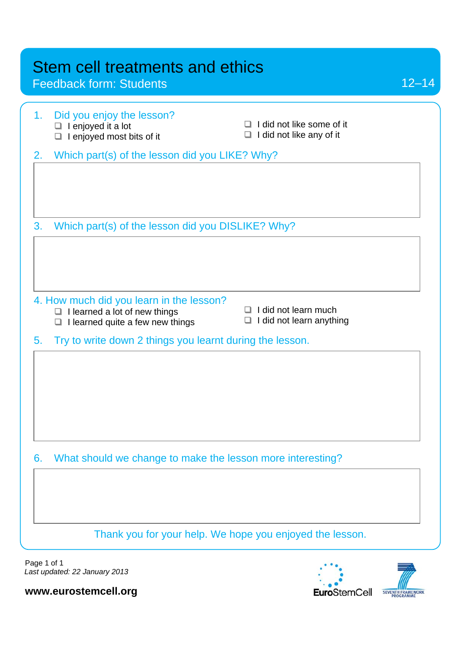Feedback form: Students

| 1. | Did you enjoy the lesson?<br>$\Box$ I enjoyed it a lot<br>$\Box$ I enjoyed most bits of it                                | I did not like some of it<br>ப<br>I did not like any of it<br>❏ |
|----|---------------------------------------------------------------------------------------------------------------------------|-----------------------------------------------------------------|
| 2. | Which part(s) of the lesson did you LIKE? Why?                                                                            |                                                                 |
|    |                                                                                                                           |                                                                 |
| 3. | Which part(s) of the lesson did you DISLIKE? Why?                                                                         |                                                                 |
|    |                                                                                                                           |                                                                 |
|    | 4. How much did you learn in the lesson?<br>$\Box$ I learned a lot of new things<br>I learned quite a few new things<br>□ | I did not learn much<br>□<br>I did not learn anything<br>❏      |
| 5. | Try to write down 2 things you learnt during the lesson.                                                                  |                                                                 |
|    |                                                                                                                           |                                                                 |
| 6. | What should we change to make the lesson more interesting?                                                                |                                                                 |
|    |                                                                                                                           |                                                                 |
|    | Thank you for your help. We hope you enjoyed the lesson.                                                                  |                                                                 |
|    |                                                                                                                           |                                                                 |

Page 1 of 1 *Last updated: 22 January 2013* 



12–14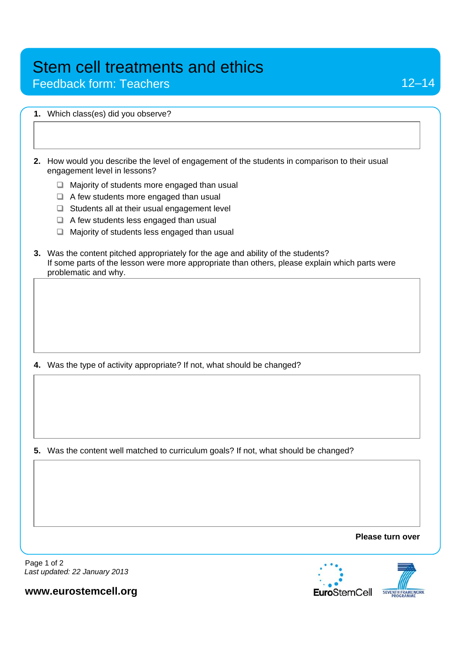Feedback form: Teachers

|    | 1. Which class(es) did you observe?                                                                                                                                                                         |
|----|-------------------------------------------------------------------------------------------------------------------------------------------------------------------------------------------------------------|
|    |                                                                                                                                                                                                             |
| 2. | How would you describe the level of engagement of the students in comparison to their usual<br>engagement level in lessons?                                                                                 |
|    | Majority of students more engaged than usual<br>$\Box$                                                                                                                                                      |
|    | $\Box$ A few students more engaged than usual                                                                                                                                                               |
|    | $\Box$ Students all at their usual engagement level                                                                                                                                                         |
|    | $\Box$ A few students less engaged than usual                                                                                                                                                               |
|    | Majority of students less engaged than usual<br>□                                                                                                                                                           |
|    | 3. Was the content pitched appropriately for the age and ability of the students?<br>If some parts of the lesson were more appropriate than others, please explain which parts were<br>problematic and why. |
|    |                                                                                                                                                                                                             |
|    | 4. Was the type of activity appropriate? If not, what should be changed?                                                                                                                                    |
|    |                                                                                                                                                                                                             |
|    | 5. Was the content well matched to curriculum goals? If not, what should be changed?                                                                                                                        |
|    |                                                                                                                                                                                                             |

**Please turn over** 



Page 1 of 2 *Last updated: 22 January 2013*  j